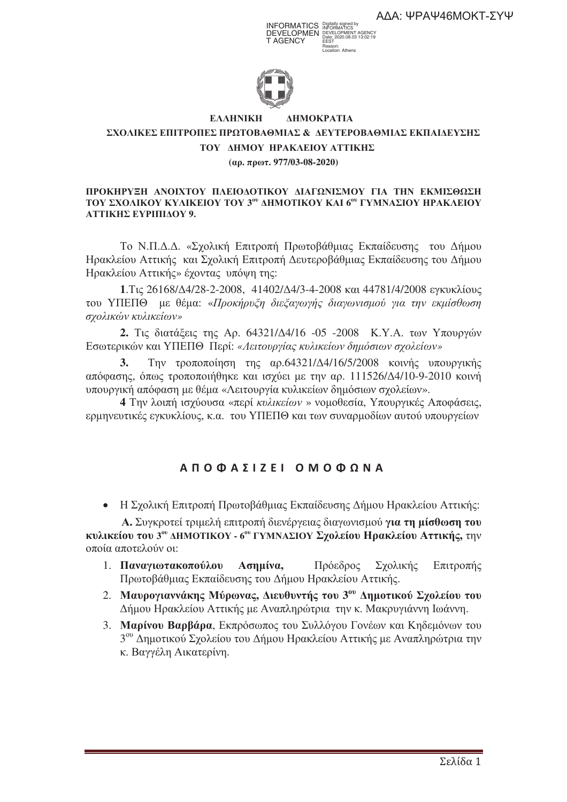INFORMATICS Digitally signed by DEVELOPMEN T AGENCY DEVELOPMENT AGENCY Date: 2020.08.03 13:02:19 EEST Reason:

Location: Athens



#### **EX EAAHNIKH HNIKH AHMOKPATIA**

## **ΣΧΟΛΙΚΕΣ ΕΠΙΤΡΟΠΕΣ ΠΡΩΤΟΒΑΘΜΙΑΣ & ΔΕΥΤΕΡΟΒΑΘΜΙΑΣ ΕΚΠΑΙΔΕΥΣΗΣ TOY ΔΗΜΟΥ ΗΡΑΚΛΕΙΟΥ ΑΤΤΙΚΗΣ (. . 977/03-08-2020)**

#### **ΠΡΟΚΗΡΥΞΗ ΑΝΟΙΧΤΟΥ ΠΛΕΙΟΔΟΤΙΚΟΥ ΔΙΑΓΩΝΙΣΜΟΥ ΓΙΑ ΤΗΝ ΕΚΜΙΣΘΩΣΗ TOY ΣΧΟΛΙΚΟΥ ΚΥΛΙΚΕΙΟΥ ΤΟΥ 3<sup>00</sup> ΔΗΜΟΤΙΚΟΥ ΚΑΙ 6<sup>00</sup> ΓΥΜΝΑΣΙΟΥ ΗΡΑΚΛΕΙΟΥ ATTIKHΣ EYPIΠIΔOY 9.**

Το Ν.Π.Δ.Δ. «Σχολική Επιτροπή Πρωτοβάθμιας Εκπαίδευσης του Δήμου Ηρακλείου Αττικής και Σχολική Επιτροπή Δευτεροβάθμιας Εκπαίδευσης του Δήμου Ηρακλείου Αττικής» έχοντας υπόψη της:

**1.** Τις 26168/Δ4/28-2-2008, 41402/Δ4/3-4-2008 και 44781/4/2008 εγκυκλίους του ΥΠΕΠΘ με θέμα: «Προκήρυξη διεξαγωγής διαγωνισμού για την εκμίσθωση  $\sigma$ χολικών κυλικείων»

**2.** Τις διατάξεις της Αρ. 64321/Δ4/16 -05 -2008 Κ.Υ.Α. των Υπουργών Εσωτερικών και ΥΠΕΠΘ Περί: «Λειτουργίας κυλικείων δημόσιων σχολείων»

**3.** Την τροποποίηση της αρ.64321/Δ4/16/5/2008 κοινής υπουργικής απόφασης, όπως τροποποιήθηκε και ισχύει με την αρ. 111526/Δ4/10-9-2010 κοινή υπουργική απόφαση με θέμα «Λειτουργία κυλικείων δημόσιων σχολείων».

4 Την λοιπή ισχύουσα «περί κυλικείων » νομοθεσία, Υπουργικές Αποφάσεις, ερμηνευτικές εγκυκλίους, κ.α. του ΥΠΕΠΘ και των συναρμοδίων αυτού υπουργείων

# **AΠΟΦΑΣIZEI ΟΜΟΦΩΝΑ**

• Η Σχολική Επιτροπή Πρωτοβάθμιας Εκπαίδευσης Δήμου Ηρακλείου Αττικής:

**Α.** Συγκροτεί τριμελή επιτροπή διενέργειας διαγωνισμού γ**ια τη μίσθωση του κυλικείου του 3® ΔΗΜΟΤΙΚΟΥ - 6® ΓΥΜΝΑΣΙΟΥ Σχολείου <b>Ηρακλείου Αττικής,** την οποία αποτελούν οι:

- 1. Παναγιωτακοπούλου Ασημίνα, Πρόεδρος ς Σχολικ ής Επιτροπής Πρωτοβάθμιας Εκπαίδευσης του Δήμου Ηρακλείου Αττικής.
- 2. Μαυρογιαννάκης Μύρωνας, Διευθυντής του 3<sup>ου</sup> Δημοτικού Σγολείου του Δήμου Ηρακλείου Αττικής με Αναπληρώτρια την κ. Μακρυγιάννη Ιωάννη.
- 3. Μαρίνου Βαρβάρα, Εκπρόσωπος του Συλλόγου Γονέων και Κηδεμόνων του 3<sup>ου</sup> Δημοτικού Σχολείου του Δήμου Ηρακλείου Αττικής με Αναπληρώτρια την κ. Βαγγέλη Αικατερίνη.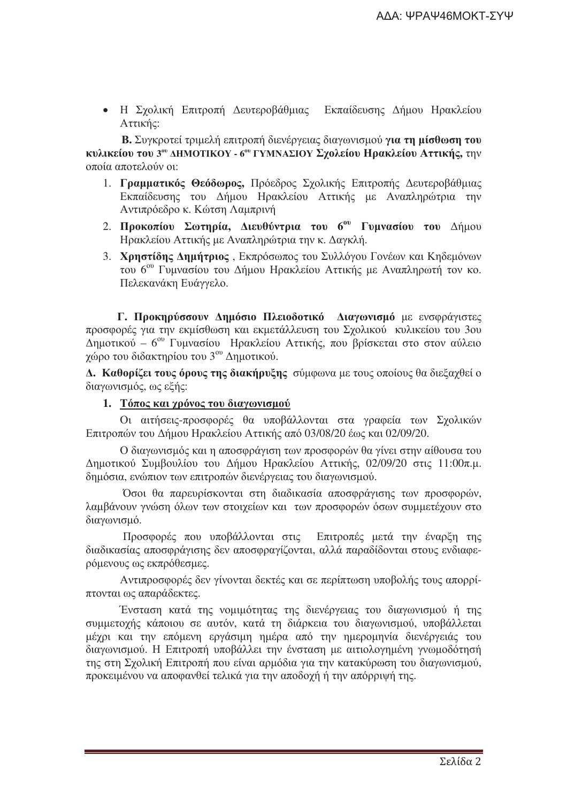• Η Σγολική Επιτροπή Δευτεροβάθμιας Εκπαίδευσης Δήμου Ηρακλείου Αττικής:

Β. Συγκροτεί τριμελή επιτροπή διενέργειας διαγωνισμού για τη μίσθωση του κυλικείου του 3<sup>ου</sup> ΔΗΜΟΤΙΚΟΥ - 6<sup>ου</sup> ΓΥΜΝΑΣΙΟΥ Σχολείου Ηρακλείου Αττικής, την οποία αποτελούν οι:

- 1. Γραμματικός Θεόδωρος, Πρόεδρος Σχολικής Επιτροπής Δευτεροβάθμιας Εκπαίδευσης του Δήμου Ηρακλείου Αττικής με Αναπληρώτρια την Αντιπρόεδρο κ. Κώτση Λαμπρινή
- 2. Προκοπίου Σωτηρία, Διευθύντρια του 6<sup>ου</sup> Γυμνασίου του Δήμου Ηρακλείου Αττικής με Αναπληρώτρια την κ. Δαγκλή.
- 3. Χρηστίδης Δημήτριος, Εκπρόσωπος του Συλλόγου Γονέων και Κηδεμόνων του 6<sup>ου</sup> Γυμνασίου του Δήμου Ηρακλείου Αττικής με Αναπληρωτή τον κο. Πελεκανάκη Ευάγγελο.

Γ. Προκηρύσσουν Δημόσιο Πλειοδοτικό Διαγωνισμό με ενσφράγιστες προσφορές για την εκμίσθωση και εκμετάλλευση του Σχολικού κυλικείου του 3ου Δημοτικού - 6<sup>ου</sup> Γυμνασίου Ηρακλείου Αττικής, που βρίσκεται στο στον αύλειο γώρο του διδακτηρίου του 3<sup>ου</sup> Δημοτικού.

Δ. Καθορίζει τους όρους της διακήρυξης σύμφωνα με τους οποίους θα διεξαχθεί ο διαγωνισμός, ως εξής:

#### 1. Τόπος και γρόνος του διαγωνισμού

Οι αιτήσεις-προσφορές θα υποβάλλονται στα γραφεία των Σχολικών Επιτροπών του Δήμου Ηρακλείου Αττικής από 03/08/20 έως και 02/09/20.

Ο διαγωνισμός και η αποσφράγιση των προσφορών θα γίνει στην αίθουσα του Δημοτικού Συμβουλίου του Δήμου Ηρακλείου Αττικής, 02/09/20 στις 11:00π.μ. δημόσια, ενώπιον των επιτροπών διενέργειας του διαγωνισμού.

Όσοι θα παρευρίσκονται στη διαδικασία αποσφράγισης των προσφορών, λαμβάνουν γνώση όλων των στοιχείων και των προσφορών όσων συμμετέχουν στο διαγωνισμό.

Προσφορές που υποβάλλονται στις Επιτροπές μετά την έναρξη της διαδικασίας αποσφράγισης δεν αποσφραγίζονται, αλλά παραδίδονται στους ενδιαφερόμενους ως εκπρόθεσμες.

Αντιπροσφορές δεν γίνονται δεκτές και σε περίπτωση υποβολής τους απορρίπτονται ως απαράδεκτες.

Ένσταση κατά της νομιμότητας της διενέργειας του διαγωνισμού ή της συμμετογής κάποιου σε αυτόν, κατά τη διάρκεια του διαγωνισμού, υποβάλλεται μέχρι και την επόμενη εργάσιμη ημέρα από την ημερομηνία διενέργειάς του διαγωνισμού. Η Επιτροπή υποβάλλει την ένσταση με αιτιολογημένη γνωμοδότησή της στη Σχολική Επιτροπή που είναι αρμόδια για την κατακύρωση του διαγωνισμού, προκειμένου να αποφανθεί τελικά για την αποδοχή ή την απόρριψή της.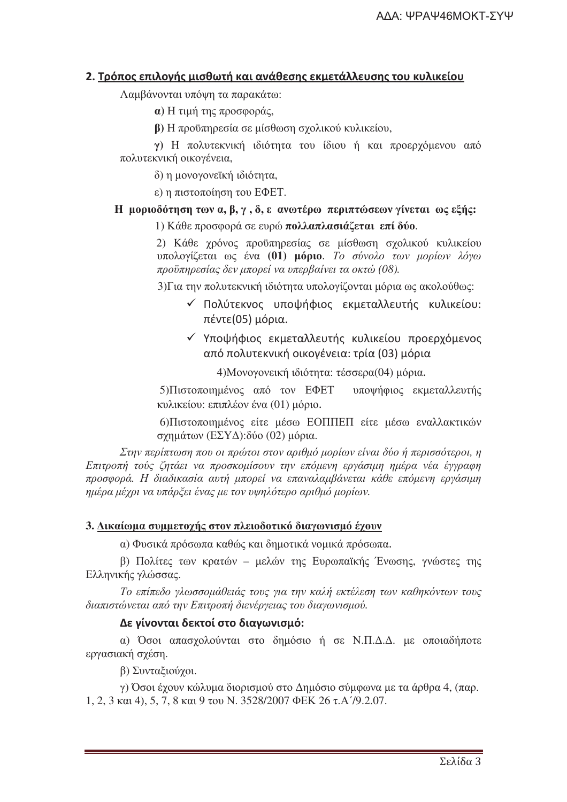## 2. Τρόπος επιλογής μισθωτή και ανάθεσης εκμετάλλευσης του κυλικείου

Λαμβάνονται υπόψη τα παρακάτω:

α) Η τιμή της προσφοράς,

β) Η προϋπηρεσία σε μίσθωση σχολικού κυλικείου,

γ) Η πολυτεκνική ιδιότητα του ίδιου ή και προεργόμενου από πολυτεκνική οικογένεια,

δ) η μονονονεϊκή ιδιότητα.

ε) η πιστοποίηση του ΕΦΕΤ.

#### H μοριοδότηση των α, β, γ, δ, ε ανωτέρω περιπτώσεων γίνεται ως εξής:

1) Κάθε προσφορά σε ευρώ πολλαπλασιάζεται επί δύο.

2) Κάθε χρόνος προϋπηρεσίας σε μίσθωση σχολικού κυλικείου υπολογίζεται ως ένα (01) μόριο. Το σύνολο των μορίων λόγω προϋπηρεσίας δεν μπορεί να υπερβαίνει τα οκτώ (08).

3) Για την πολυτεκνική ιδιότητα υπολογίζονται μόρια ως ακολούθως:

- ν Πολύτεκνος υποψήφιος εκμεταλλευτής κυλικείου: πέντε (05) μόρια.
- ν Υποψήφιος εκμεταλλευτής κυλικείου προερχόμενος από πολυτεκνική οικονένεια: τρία (03) μόρια

4) Μονογονεική ιδιότητα: τέσσερα (04) μόρια.

5) Πιστοποιημένος από τον ΕΦΕΤ υποψήφιος εκμεταλλευτής κυλικείου: επιπλέον ένα (01) μόριο.

6) Πιστοποιημένος είτε μέσω ΕΟΠΠΕΠ είτε μέσω εναλλακτικών σγημάτων (ΕΣΥΔ): δύο (02) μόρια.

Στην περίπτωση που οι πρώτοι στον αριθμό μορίων είναι δύο ή περισσότεροι, η Επιτροπή τούς ζητάει να προσκομίσουν την επόμενη εργάσιμη ημέρα νέα έγγραφη προσφορά. Η διαδικασία αυτή μπορεί να επαναλαμβάνεται κάθε επόμενη εργάσιμη ημέρα μέχρι να υπάρξει ένας με τον υψηλότερο αριθμό μορίων.

#### 3. Δικαίωμα συμμετοχής στον πλειοδοτικό διαγωνισμό έχουν

α) Φυσικά πρόσωπα καθώς και δημοτικά νομικά πρόσωπα.

β) Πολίτες των κρατών - μελών της Ευρωπαϊκής Ένωσης, γνώστες της Ελληνικής γλώσσας.

Το επίπεδο γλωσσομάθειάς τους για την καλή εκτέλεση των καθηκόντων τους διαπιστώνεται από την Επιτροπή διενέργειας του διαγωνισμού.

#### Δε γίνονται δεκτοί στο διαγωνισμό:

α) Όσοι απασχολούνται στο δημόσιο ή σε Ν.Π.Δ.Δ. με οποιαδήποτε εργασιακή σχέση.

β) Συνταξιούνοι.

γ) Όσοι έχουν κώλυμα διορισμού στο Δημόσιο σύμφωνα με τα άρθρα 4, (παρ. 1, 2, 3 και 4), 5, 7, 8 και 9 του Ν, 3528/2007 ΦΕΚ 26 τ.Α'/9.2.07.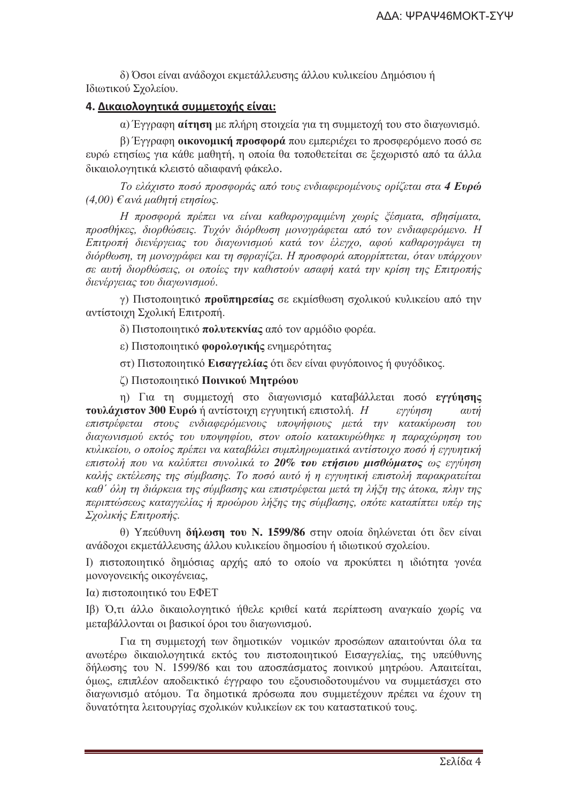δ) Όσοι είναι ανάδοχοι εκμετάλλευσης άλλου κυλικείου Δημόσιου ή Ιδιωτικού Σχολείου.

# <u>4. Δικαιολογητικά συμμετοχής είναι:</u>

α) Έγγραφη αίτηση με πλήρη στοιχεία για τη συμμετοχή του στο διαγωνισμό.

β) Έγγραφη **οικονομική προσφορά** που εμπεριέγει το προσφερόμενο ποσό σε ευρώ ετησίως για κάθε μαθητή, η οποία θα τοποθετείται σε ξεχωριστό από τα άλλα δικαιολογητικά κλειστό αδιαφανή φάκελο.

Το ελάχιστο ποσό προσφοράς από τους ενδιαφερομένους ορίζεται στα 4 Ευρώ  $(4,00)$  ε ανά μαθητή ετησίως.

Η προσφορά πρέπει να είναι καθαρογραμμένη χωρίς ζέσματα, σβησίματα, προσθήκες, διορθώσεις. Τυχόν διόρθωση μονογράφεται από τον ενδιαφερόμενο. Η Επιτροπή διενέργειας του διαγωνισμού κατά τον έλεγχο, αφού καθαρογράψει τη διόρθωση, τη μονονράφει και τη σφρανίζει. Η προσφορά απορρίπτεται, όταν υπάρχουν σε αυτή διορθώσεις, οι οποίες την καθιστούν ασαφή κατά την κρίση της Επιτροπής διενέργειας του διαγωνισμού.

γ) Πιστοποιητικό προϋπηρεσίας σε εκμίσθωση σγολικού κυλικείου από την αντίστοιχη Σχολική Επιτροπή.

δ) Πιστοποιητικό πολυτεκνίας από τον αρμόδιο φορέα.

ε) Πιστοποιητικό φορολογικής ενημερότητας

στ) Πιστοποιητικό Εισαγγελίας ότι δεν είναι φυγόποινος ή φυγόδικος.

ζ) Πιστοποιητικό Ποινικού Μητρώου

η) Για τη συμμετοχή στο διαγωνισμό καταβάλλεται ποσό εγγύησης τουλάχιστον 300 Ευρώ ή αντίστοιχη εγγυητική επιστολή. Η εγγύηση αυτή επιστρέφεται στους ενδιαφερόμενους υποψήφιους μετά την κατακύρωση του διαγωνισμού εκτός του υποψηφίου, στον οποίο κατακυρώθηκε η παραχώρηση του κυλικείου, ο οποίος πρέπει να καταβάλει συμπληρωματικά αντίστοιχο ποσό ή εγγυητική επιστολή που να καλύπτει συνολικά το 20% του ετήσιου μισθώματος ως εγγύηση καλής εκτέλεσης της σύμβασης. Το ποσό αυτό ή η εγγυητική επιστολή παρακρατείται καθ' όλη τη διάρκεια της σύμβασης και επιστρέφεται μετά τη λήξη της άτοκα, πλην της περιπτώσεως καταγγελίας ή προώρου λήξης της σύμβασης, οπότε καταπίπτει υπέρ της Σχολικής Επιτροπής.

θ) Υπεύθυνη δήλωση του Ν. 1599/86 στην οποία δηλώνεται ότι δεν είναι ανάδοχοι εκμετάλλευσης άλλου κυλικείου δημοσίου ή ιδιωτικού σχολείου.

Ι) πιστοποιητικό δημόσιας αρχής από το οποίο να προκύπτει η ιδιότητα γονέα μονογονεικής οικογένειας,

Ια) πιστοποιητικό του ΕΦΕΤ

Ιβ) Ό,τι άλλο δικαιολογητικό ήθελε κριθεί κατά περίπτωση αναγκαίο χωρίς να μεταβάλλονται οι βασικοί όροι του διαγωνισμού.

Για τη συμμετοχή των δημοτικών νομικών προσώπων απαιτούνται όλα τα ανωτέρω δικαιολογητικά εκτός του πιστοποιητικού Εισαγγελίας, της υπεύθυνης δήλωσης του Ν. 1599/86 και του αποσπάσματος ποινικού μητρώου. Απαιτείται, όμως, επιπλέον αποδεικτικό έγγραφο του εξουσιοδοτουμένου να συμμετάσχει στο διαγωνισμό ατόμου. Τα δημοτικά πρόσωπα που συμμετέγουν πρέπει να έγουν τη δυνατότητα λειτουργίας σχολικών κυλικείων εκ του καταστατικού τους.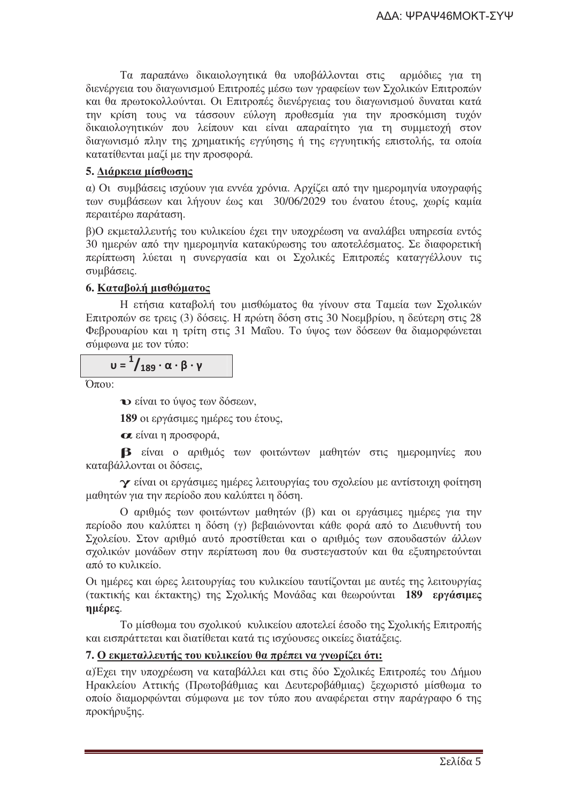Τα παραπάνω δικαιολογητικά θα υποβάλλονται στις αρμόδιες για τη διενέργεια του διαγωνισμού Επιτροπές μέσω των γραφείων των Σχολικών Επιτροπών και θα πρωτοκολλούνται. Οι Επιτροπές διενέργειας του διαγωνισμού δυναται κατά την κρίση τους να τάσσουν εύλογη προθεσμία για την προσκόμιση τυχόν δικαιολογητικών που λείπουν και είναι απαραίτητο για τη συμμετοχή στον διαγωνισμό πλην της γρηματικής εγγύησης ή της εγγυητικής επιστολής, τα οποία κατατίθενται μαζί με την προσφορά.

# 5. Διάρκεια μίσθωσης

α) Οι συμβάσεις ισγύουν για εννέα γρόνια. Αργίζει από την ημερομηνία υπογραφής των συμβάσεων και λήγουν έως και 30/06/2029 του ένατου έτους, γωρίς καμία περαιτέρω παράταση.

β)Ο εκμεταλλευτής του κυλικείου έχει την υποχρέωση να αναλάβει υπηρεσία εντός 30 ημερών από την ημερομηνία κατακύρωσης του αποτελέσματος. Σε διαφορετική περίπτωση λύεται η συνεργασία και οι Σχολικές Επιτροπές καταγγέλλουν τις συμβάσεις.

# 6. Καταβολή μισθώματος

Η ετήσια καταβολή του μισθώματος θα γίνουν στα Ταμεία των Σχολικών Επιτροπών σε τρεις (3) δόσεις. Η πρώτη δόση στις 30 Νοεμβρίου, η δεύτερη στις 28 Φεβρουαρίου και η τρίτη στις 31 Μαΐου. Το ύψος των δόσεων θα διαμορφώνεται σύμφωνα με τον τύπο:

$$
u = \frac{1}{189} \cdot \alpha \cdot \beta \cdot \gamma
$$

 $O_{\pi(0)}$ :

• είναι το ύψος των δόσεων,

189 οι εργάσιμες ημέρες του έτους,

α είναι η προσφορά,

Β είναι ο αριθμός των φοιτώντων μαθητών στις ημερομηνίες που καταβάλλονται οι δόσεις.

γ είναι οι εργάσιμες ημέρες λειτουργίας του σχολείου με αντίστοιχη φοίτηση μαθητών για την περίοδο που καλύπτει η δόση.

Ο αριθμός των φοιτώντων μαθητών (β) και οι εργάσιμες ημέρες για την περίοδο που καλύπτει η δόση (γ) βεβαιώνονται κάθε φορά από το Διευθυντή του Σγολείου. Στον αριθμό αυτό προστίθεται και ο αριθμός των σπουδαστών άλλων σγολικών μονάδων στην περίπτωση που θα συστεγαστούν και θα εξυπηρετούνται από το κυλικείο.

Οι ημέρες και ώρες λειτουργίας του κυλικείου ταυτίζονται με αυτές της λειτουργίας (τακτικής και έκτακτης) της Σχολικής Μονάδας και θεωρούνται 189 εργάσιμες ημέρες.

Το μίσθωμα του σγολικού κυλικείου αποτελεί έσοδο της Σγολικής Επιτροπής και εισπράττεται και διατίθεται κατά τις ισχύουσες οικείες διατάξεις.

# 7. Ο εκμεταλλευτής του κυλικείου θα πρέπει να γνωρίζει ότι:

α) Έγει την υπογρέωση να καταβάλλει και στις δύο Σγολικές Επιτροπές του Δήμου Ηρακλείου Αττικής (Πρωτοβάθμιας και Δευτεροβάθμιας) ξεχωριστό μίσθωμα το οποίο διαμορφώνται σύμφωνα με τον τύπο που αναφέρεται στην παράγραφο 6 της προκήρυξης.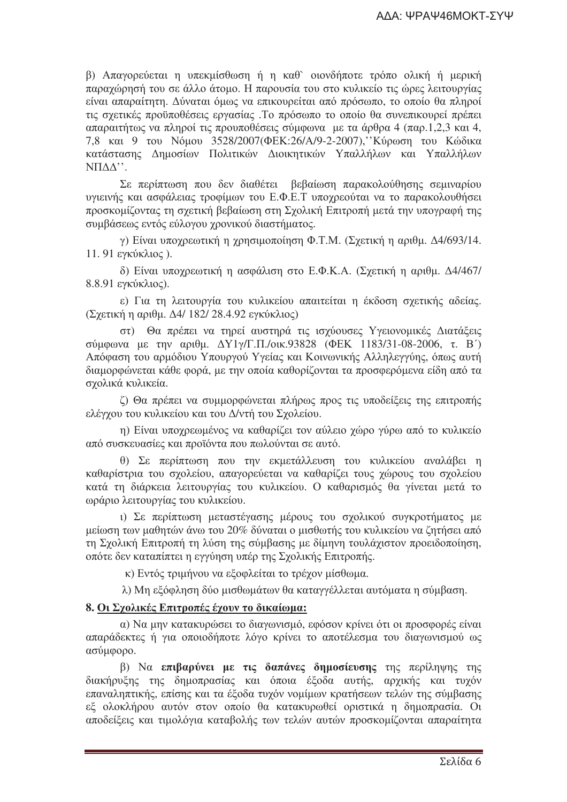β) Απαγορεύεται η υπεκμίσθωση ή η καθ` οιονδήποτε τρόπο ολική ή μερική παραγώρησή του σε άλλο άτομο. Η παρουσία του στο κυλικείο τις ώρες λειτουργίας είναι απαραίτητη. Δύναται όμως να επικουρείται από πρόσωπο, το οποίο θα πληροί τις σχετικές προϋποθέσεις εργασίας. Το πρόσωπο το οποίο θα συνεπικουρεί πρέπει απαραιτήτως να πληροί τις προυποθέσεις σύμφωνα με τα άρθρα 4 (παρ.1.2.3 και 4, 7,8 και 9 του Νόμου 3528/2007 (ΦΕΚ: 26/Α/9-2-2007), Κύρωση του Κώδικα κατάστασης Δημοσίων Πολιτικών Διοικητικών Υπαλλήλων και Υπαλλήλων  $NTAA$ ".

Σε περίπτωση που δεν διαθέτει βεβαίωση παρακολούθησης σεμιναρίου υνιεινής και ασφάλειας τροφίμων του Ε.Φ.Ε.Τ υπογρεούται να το παρακολουθήσει προσκομίζοντας τη σχετική βεβαίωση στη Σχολική Επιτροπή μετά την υπογραφή της συμβάσεως εντός εύλογου γρονικού διαστήματος.

γ) Είναι υποχρεωτική η χρησιμοποίηση Φ.Τ.Μ. (Σχετική η αριθμ. Δ4/693/14. 11. 91 εγκύκλιος).

δ) Είναι υπογρεωτική η ασφάλιση στο Ε.Φ.Κ.Α. (Σγετική η αριθμ. Δ4/467/ 8.8.91 εγκύκλιος).

ε) Για τη λειτουργία του κυλικείου απαιτείται η έκδοση σχετικής αδείας. (Σχετική η αριθμ. Δ4/ 182/ 28.4.92 εγκύκλιος)

στ) Θα πρέπει να τηρεί αυστηρά τις ισγύουσες Υγειονομικές Διατάξεις σύμφωνα με την αριθμ.  $ΔY1γ/Γ.Π/οικ.93828$  (ΦΕΚ 1183/31-08-2006, τ. Β') Απόφαση του αρμόδιου Υπουργού Υγείας και Κοινωνικής Αλληλεγγύης, όπως αυτή διαμορφώνεται κάθε φορά, με την οποία καθορίζονται τα προσφερόμενα είδη από τα σγολικά κυλικεία.

ζ) Θα πρέπει να συμμορφώνεται πλήρως προς τις υποδείξεις της επιτροπής ελέγγου του κυλικείου και του Δ/ντή του Σγολείου.

η) Είναι υποχρεωμένος να καθαρίζει τον αύλειο χώρο γύρω από το κυλικείο από συσκευασίες και προϊόντα που πωλούνται σε αυτό.

θ) Σε περίπτωση που την εκμετάλλευση του κυλικείου αναλάβει η καθαρίστρια του σχολείου, απαγορεύεται να καθαρίζει τους χώρους του σχολείου κατά τη διάρκεια λειτουργίας του κυλικείου. Ο καθαρισμός θα γίνεται μετά το ωράριο λειτουργίας του κυλικείου.

ι) Σε περίπτωση μεταστέγασης μέρους του σχολικού συγκροτήματος με μείωση των μαθητών άνω του 20% δύναται ο μισθωτής του κυλικείου να ζητήσει από τη Σχολική Επιτροπή τη λύση της σύμβασης με δίμηνη τουλάχιστον προειδοποίηση, οπότε δεν καταπίπτει η εγγύηση υπέρ της Σχολικής Επιτροπής.

κ) Εντός τριμήνου να εξοφλείται το τρέγον μίσθωμα.

λ) Μη εξόφληση δύο μισθωμάτων θα καταγγέλλεται αυτόματα η σύμβαση.

#### 8. Οι Σχολικές Επιτροπές έχουν το δικαίωμα:

α) Να μην κατακυρώσει το διαγωνισμό, εφόσον κρίνει ότι οι προσφορές είναι απαράδεκτες ή για οποιοδήποτε λόγο κρίνει το αποτέλεσμα του διαγωνισμού ως ασύμφορο.

β) Να επιβαρύνει με τις δαπάνες δημοσίευσης της περίληψης της διακήρυξης της δημοπρασίας και όποια έξοδα αυτής, αρχικής και τυχόν επαναληπτικής, επίσης και τα έξοδα τυχόν νομίμων κρατήσεων τελών της σύμβασης εξ ολοκλήρου αυτόν στον οποίο θα κατακυρωθεί οριστικά η δημοπρασία. Οι αποδείξεις και τιμολόγια καταβολής των τελών αυτών προσκομίζονται απαραίτητα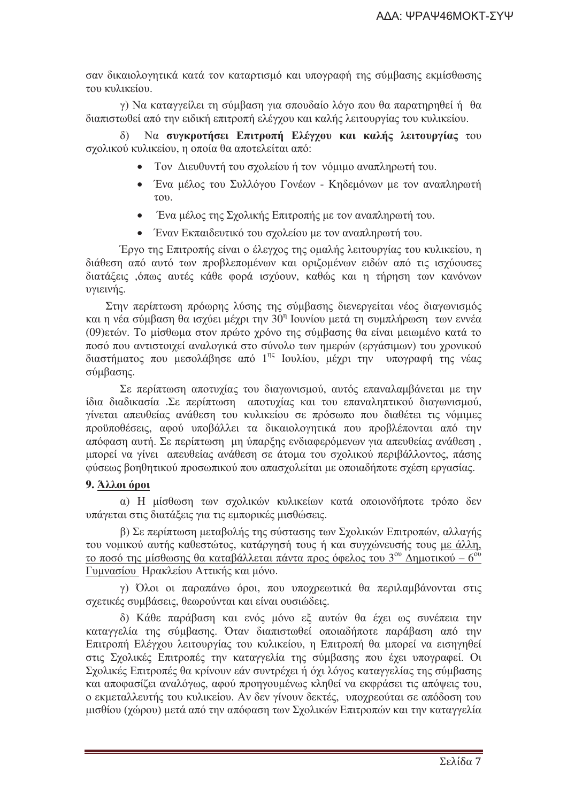σαν δικαιολογητικά κατά τον καταρτισμό και υπογραφή της σύμβασης εκμίσθωσης του κυλικείου.

γ) Να καταγγείλει τη σύμβαση για σπουδαίο λόγο που θα παρατηρηθεί ή θα διαπιστωθεί από την ειδική επιτροπή ελέγχου και καλής λειτουργίας του κυλικείου.

Να συγκροτήσει Επιτροπή Ελέγγου και καλής λειτουργίας του σχολικού κυλικείου, η οποία θα αποτελείται από:

- Τον Διευθυντή του σχολείου ή τον νόμιμο αναπληρωτή του.
- Ένα μέλος του Συλλόγου Γονέων Κηδεμόνων με τον αναπληρωτή  $\tau$ <sup>o</sup>
- Ένα μέλος της Σχολικής Επιτροπής με τον αναπληρωτή του.
- Έναν Εκπαιδευτικό του σχολείου με τον αναπληρωτή του.

Έργο της Επιτροπής είναι ο έλεγχος της ομαλής λειτουργίας του κυλικείου, η διάθεση από αυτό των προβλεπομένων και οριζομένων ειδών από τις ισχύουσες διατάξεις ,όπως αυτές κάθε φορά ισγύουν, καθώς και η τήρηση των κανόνων υγιεινής.

Στην περίπτωση πρόωρης λύσης της σύμβασης διενεργείται νέος διαγωνισμός και η νέα σύμβαση θα ισγύει μέγρι την  $30<sup>η</sup>$  Ιουνίου μετά τη συμπλήρωση των εννέα (09)ετών. Το μίσθωμα στον πρώτο χρόνο της σύμβασης θα είναι μειωμένο κατά το ποσό που αντιστοιγεί αναλογικά στο σύνολο των ημερών (εργάσιμων) του γρονικού διαστήματος που μεσολάβησε από 1<sup>ης</sup> Ιουλίου, μέχρι την υπογραφή της νέας σύμβασης.

Σε περίπτωση αποτυχίας του διαγωνισμού, αυτός επαναλαμβάνεται με την ίδια διαδικασία .Σε περίπτωση αποτυχίας και του επαναληπτικού διαγωνισμού, γίνεται απευθείας ανάθεση του κυλικείου σε πρόσωπο που διαθέτει τις νόμιμες προϋποθέσεις, αφού υποβάλλει τα δικαιολογητικά που προβλέπονται από την απόφαση αυτή. Σε περίπτωση μη ύπαρξης ενδιαφερόμενων για απευθείας ανάθεση, μπορεί να γίνει απευθείας ανάθεση σε άτομα του σγολικού περιβάλλοντος, πάσης φύσεως βοηθητικού προσωπικού που απασγολείται με οποιαδήποτε σγέση εργασίας.

# 9. Άλλοι όροι

α) Η μίσθωση των σχολικών κυλικείων κατά οποιονδήποτε τρόπο δεν υπάγεται στις διατάξεις για τις εμπορικές μισθώσεις.

β) Σε περίπτωση μεταβολής της σύστασης των Σχολικών Επιτροπών, αλλαγής του νομικού αυτής καθεστώτος, κατάργησή τους ή και συγγώνευσής τους με άλλη, το ποσό της μίσθωσης θα καταβάλλεται πάντα προς όφελος του 3<sup>ου</sup> Δημοτικού – 6<sup>ου</sup> Γυμνασίου Ηρακλείου Αττικής και μόνο.

γ) Όλοι οι παραπάνω όροι, που υποχρεωτικά θα περιλαμβάνονται στις σχετικές συμβάσεις, θεωρούνται και είναι ουσιώδεις.

δ) Κάθε παράβαση και ενός μόνο εξ αυτών θα έχει ως συνέπεια την καταγγελία της σύμβασης. Όταν διαπιστωθεί οποιαδήποτε παράβαση από την Επιτροπή Ελέγχου λειτουργίας του κυλικείου, η Επιτροπή θα μπορεί να εισηγηθεί στις Σχολικές Επιτροπές την καταγγελία της σύμβασης που έχει υπογραφεί. Οι Σχολικές Επιτροπές θα κρίνουν εάν συντρέχει ή όχι λόγος καταγγελίας της σύμβασης και αποφασίζει αναλόγως, αφού προηγουμένως κληθεί να εκφράσει τις απόψεις του, ο εκμεταλλευτής του κυλικείου. Αν δεν γίνουν δεκτές, υπογρεούται σε απόδοση του μισθίου (γώρου) μετά από την απόφαση των Σγολικών Επιτροπών και την καταγγελία